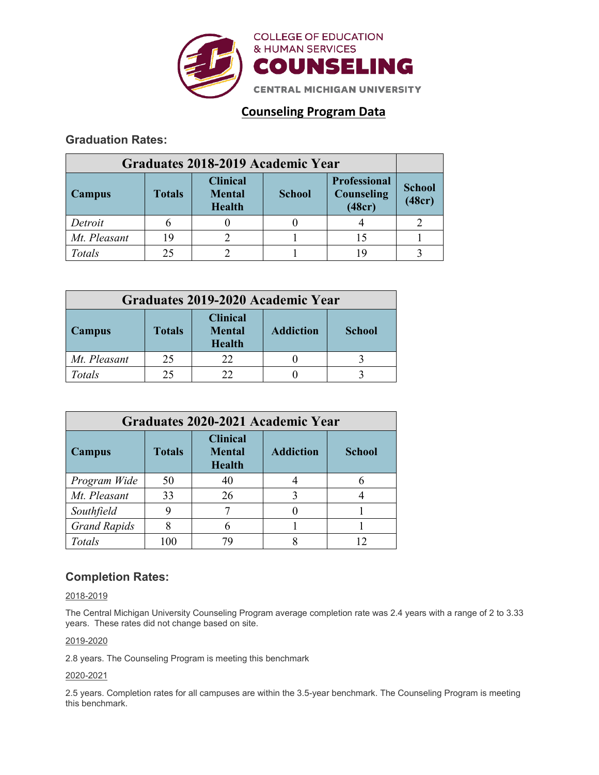

# **Counseling Program Data**

## **Graduation Rates:**

| Graduates 2018-2019 Academic Year |               |                                                   |               |                                             |                         |
|-----------------------------------|---------------|---------------------------------------------------|---------------|---------------------------------------------|-------------------------|
| Campus                            | <b>Totals</b> | <b>Clinical</b><br><b>Mental</b><br><b>Health</b> | <b>School</b> | <b>Professional</b><br>Counseling<br>(48cr) | <b>School</b><br>(48cr) |
| Detroit                           |               |                                                   |               |                                             |                         |
| Mt. Pleasant                      | 19            |                                                   |               |                                             |                         |
| Totals                            | 25            |                                                   |               | 19                                          |                         |

| Graduates 2019-2020 Academic Year |               |                                                   |                  |               |  |  |  |
|-----------------------------------|---------------|---------------------------------------------------|------------------|---------------|--|--|--|
| Campus                            | <b>Totals</b> | <b>Clinical</b><br><b>Mental</b><br><b>Health</b> | <b>Addiction</b> | <b>School</b> |  |  |  |
| Mt. Pleasant                      | 25            | 22                                                |                  |               |  |  |  |
| Totals                            |               |                                                   |                  |               |  |  |  |

| Graduates 2020-2021 Academic Year |               |                                                   |                  |               |  |  |  |
|-----------------------------------|---------------|---------------------------------------------------|------------------|---------------|--|--|--|
| Campus                            | <b>Totals</b> | <b>Clinical</b><br><b>Mental</b><br><b>Health</b> | <b>Addiction</b> | <b>School</b> |  |  |  |
| Program Wide                      | 50            | 40                                                |                  |               |  |  |  |
| Mt. Pleasant                      | 33            | 26                                                |                  |               |  |  |  |
| Southfield                        |               |                                                   |                  |               |  |  |  |
| <b>Grand Rapids</b>               |               | 6                                                 |                  |               |  |  |  |
| Totals                            | 100           |                                                   |                  |               |  |  |  |

## **Completion Rates:**

## 2018-2019

The Central Michigan University Counseling Program average completion rate was 2.4 years with a range of 2 to 3.33 years. These rates did not change based on site.

## 2019-2020

2.8 years. The Counseling Program is meeting this benchmark

## 2020-2021

2.5 years. Completion rates for all campuses are within the 3.5-year benchmark. The Counseling Program is meeting this benchmark.